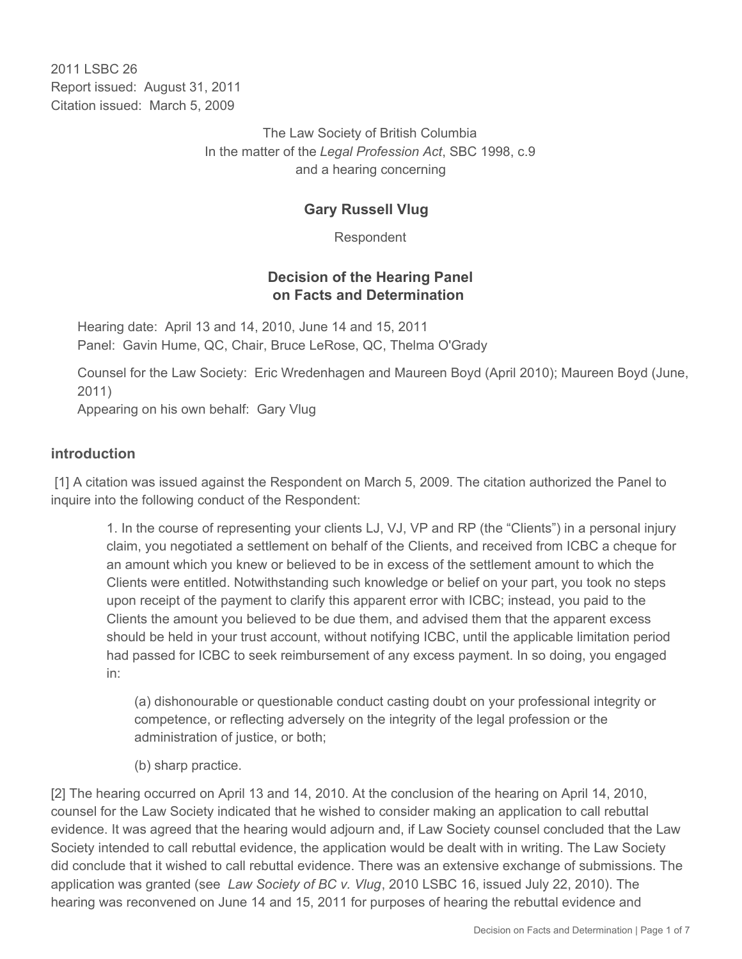2011 I SBC 26 Report issued: August 31, 2011 Citation issued: March 5, 2009

> The Law Society of British Columbia In the matter of the *Legal Profession Act*, SBC 1998, c.9 and a hearing concerning

# **Gary Russell Vlug**

Respondent

## **Decision of the Hearing Panel on Facts and Determination**

Hearing date: April 13 and 14, 2010, June 14 and 15, 2011 Panel: Gavin Hume, QC, Chair, Bruce LeRose, QC, Thelma O'Grady

Counsel for the Law Society: Eric Wredenhagen and Maureen Boyd (April 2010); Maureen Boyd (June, 2011)

Appearing on his own behalf: Gary Vlug

#### **introduction**

 [1] A citation was issued against the Respondent on March 5, 2009. The citation authorized the Panel to inquire into the following conduct of the Respondent:

1. In the course of representing your clients LJ, VJ, VP and RP (the "Clients") in a personal injury claim, you negotiated a settlement on behalf of the Clients, and received from ICBC a cheque for an amount which you knew or believed to be in excess of the settlement amount to which the Clients were entitled. Notwithstanding such knowledge or belief on your part, you took no steps upon receipt of the payment to clarify this apparent error with ICBC; instead, you paid to the Clients the amount you believed to be due them, and advised them that the apparent excess should be held in your trust account, without notifying ICBC, until the applicable limitation period had passed for ICBC to seek reimbursement of any excess payment. In so doing, you engaged in:

(a) dishonourable or questionable conduct casting doubt on your professional integrity or competence, or reflecting adversely on the integrity of the legal profession or the administration of justice, or both;

(b) sharp practice.

[2] The hearing occurred on April 13 and 14, 2010. At the conclusion of the hearing on April 14, 2010, counsel for the Law Society indicated that he wished to consider making an application to call rebuttal evidence. It was agreed that the hearing would adjourn and, if Law Society counsel concluded that the Law Society intended to call rebuttal evidence, the application would be dealt with in writing. The Law Society did conclude that it wished to call rebuttal evidence. There was an extensive exchange of submissions. The application was granted (see *Law Society of BC v. Vlug*, 2010 LSBC 16, issued July 22, 2010). The hearing was reconvened on June 14 and 15, 2011 for purposes of hearing the rebuttal evidence and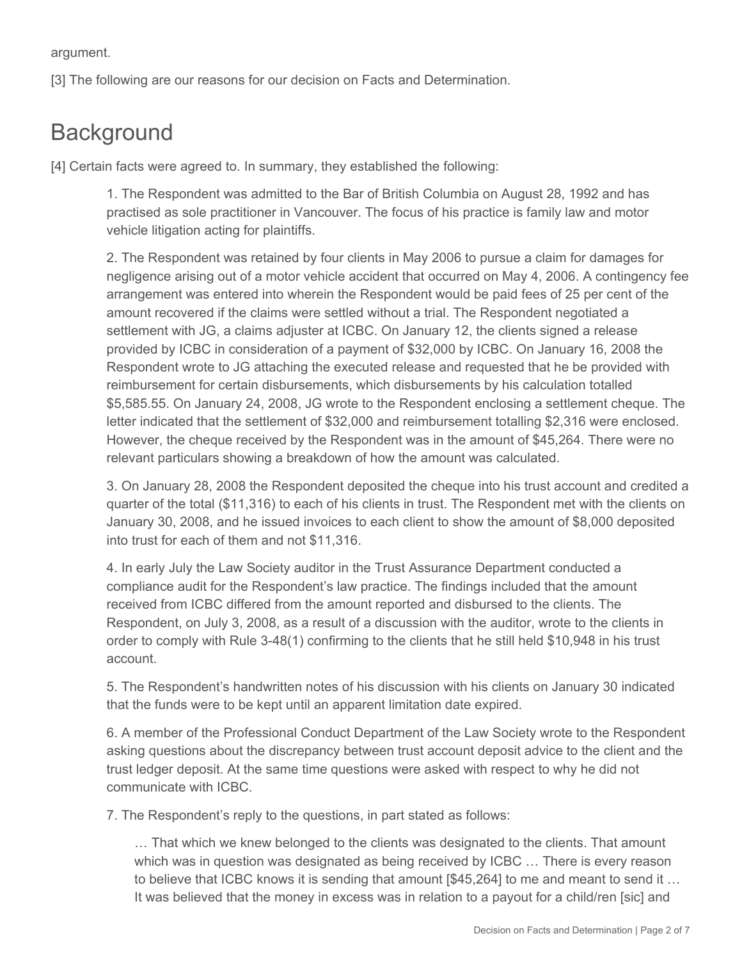argument.

[3] The following are our reasons for our decision on Facts and Determination.

# **Background**

[4] Certain facts were agreed to. In summary, they established the following:

1. The Respondent was admitted to the Bar of British Columbia on August 28, 1992 and has practised as sole practitioner in Vancouver. The focus of his practice is family law and motor vehicle litigation acting for plaintiffs.

2. The Respondent was retained by four clients in May 2006 to pursue a claim for damages for negligence arising out of a motor vehicle accident that occurred on May 4, 2006. A contingency fee arrangement was entered into wherein the Respondent would be paid fees of 25 per cent of the amount recovered if the claims were settled without a trial. The Respondent negotiated a settlement with JG, a claims adjuster at ICBC. On January 12, the clients signed a release provided by ICBC in consideration of a payment of \$32,000 by ICBC. On January 16, 2008 the Respondent wrote to JG attaching the executed release and requested that he be provided with reimbursement for certain disbursements, which disbursements by his calculation totalled \$5,585.55. On January 24, 2008, JG wrote to the Respondent enclosing a settlement cheque. The letter indicated that the settlement of \$32,000 and reimbursement totalling \$2,316 were enclosed. However, the cheque received by the Respondent was in the amount of \$45,264. There were no relevant particulars showing a breakdown of how the amount was calculated.

3. On January 28, 2008 the Respondent deposited the cheque into his trust account and credited a quarter of the total (\$11,316) to each of his clients in trust. The Respondent met with the clients on January 30, 2008, and he issued invoices to each client to show the amount of \$8,000 deposited into trust for each of them and not \$11,316.

4. In early July the Law Society auditor in the Trust Assurance Department conducted a compliance audit for the Respondent's law practice. The findings included that the amount received from ICBC differed from the amount reported and disbursed to the clients. The Respondent, on July 3, 2008, as a result of a discussion with the auditor, wrote to the clients in order to comply with Rule 3-48(1) confirming to the clients that he still held \$10,948 in his trust account.

5. The Respondent's handwritten notes of his discussion with his clients on January 30 indicated that the funds were to be kept until an apparent limitation date expired.

6. A member of the Professional Conduct Department of the Law Society wrote to the Respondent asking questions about the discrepancy between trust account deposit advice to the client and the trust ledger deposit. At the same time questions were asked with respect to why he did not communicate with ICBC.

7. The Respondent's reply to the questions, in part stated as follows:

… That which we knew belonged to the clients was designated to the clients. That amount which was in question was designated as being received by ICBC … There is every reason to believe that ICBC knows it is sending that amount [\$45,264] to me and meant to send it … It was believed that the money in excess was in relation to a payout for a child/ren [sic] and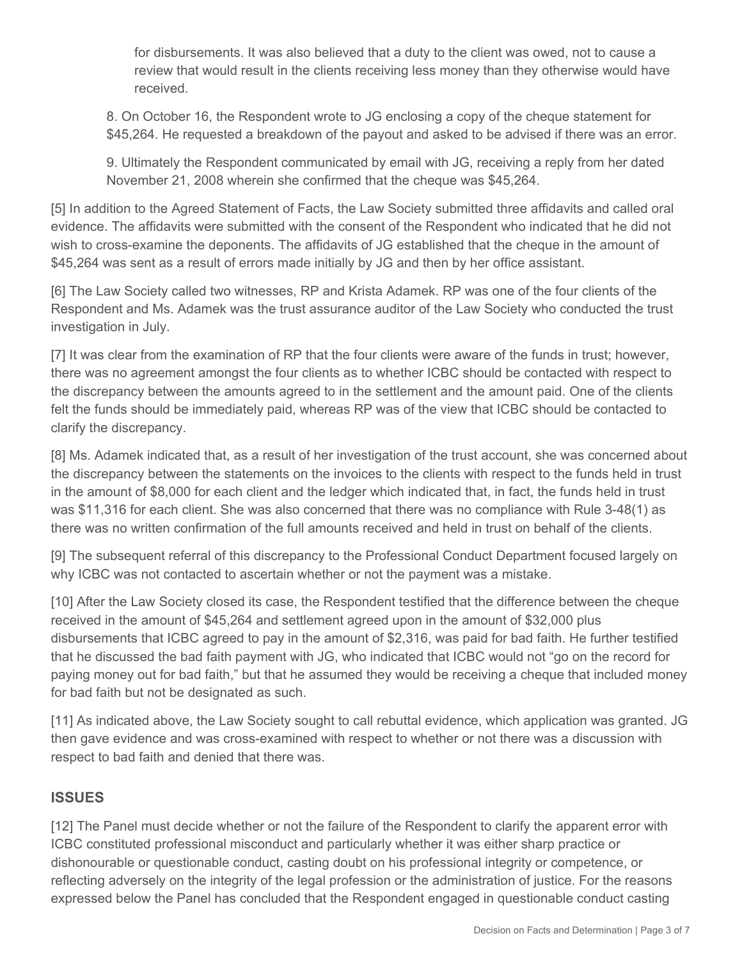for disbursements. It was also believed that a duty to the client was owed, not to cause a review that would result in the clients receiving less money than they otherwise would have received.

8. On October 16, the Respondent wrote to JG enclosing a copy of the cheque statement for \$45,264. He requested a breakdown of the payout and asked to be advised if there was an error.

9. Ultimately the Respondent communicated by email with JG, receiving a reply from her dated November 21, 2008 wherein she confirmed that the cheque was \$45,264.

[5] In addition to the Agreed Statement of Facts, the Law Society submitted three affidavits and called oral evidence. The affidavits were submitted with the consent of the Respondent who indicated that he did not wish to cross-examine the deponents. The affidavits of JG established that the cheque in the amount of \$45,264 was sent as a result of errors made initially by JG and then by her office assistant.

[6] The Law Society called two witnesses, RP and Krista Adamek. RP was one of the four clients of the Respondent and Ms. Adamek was the trust assurance auditor of the Law Society who conducted the trust investigation in July.

[7] It was clear from the examination of RP that the four clients were aware of the funds in trust; however, there was no agreement amongst the four clients as to whether ICBC should be contacted with respect to the discrepancy between the amounts agreed to in the settlement and the amount paid. One of the clients felt the funds should be immediately paid, whereas RP was of the view that ICBC should be contacted to clarify the discrepancy.

[8] Ms. Adamek indicated that, as a result of her investigation of the trust account, she was concerned about the discrepancy between the statements on the invoices to the clients with respect to the funds held in trust in the amount of \$8,000 for each client and the ledger which indicated that, in fact, the funds held in trust was \$11,316 for each client. She was also concerned that there was no compliance with Rule 3-48(1) as there was no written confirmation of the full amounts received and held in trust on behalf of the clients.

[9] The subsequent referral of this discrepancy to the Professional Conduct Department focused largely on why ICBC was not contacted to ascertain whether or not the payment was a mistake.

[10] After the Law Society closed its case, the Respondent testified that the difference between the cheque received in the amount of \$45,264 and settlement agreed upon in the amount of \$32,000 plus disbursements that ICBC agreed to pay in the amount of \$2,316, was paid for bad faith. He further testified that he discussed the bad faith payment with JG, who indicated that ICBC would not "go on the record for paying money out for bad faith," but that he assumed they would be receiving a cheque that included money for bad faith but not be designated as such.

[11] As indicated above, the Law Society sought to call rebuttal evidence, which application was granted. JG then gave evidence and was cross-examined with respect to whether or not there was a discussion with respect to bad faith and denied that there was.

## **ISSUES**

[12] The Panel must decide whether or not the failure of the Respondent to clarify the apparent error with ICBC constituted professional misconduct and particularly whether it was either sharp practice or dishonourable or questionable conduct, casting doubt on his professional integrity or competence, or reflecting adversely on the integrity of the legal profession or the administration of justice. For the reasons expressed below the Panel has concluded that the Respondent engaged in questionable conduct casting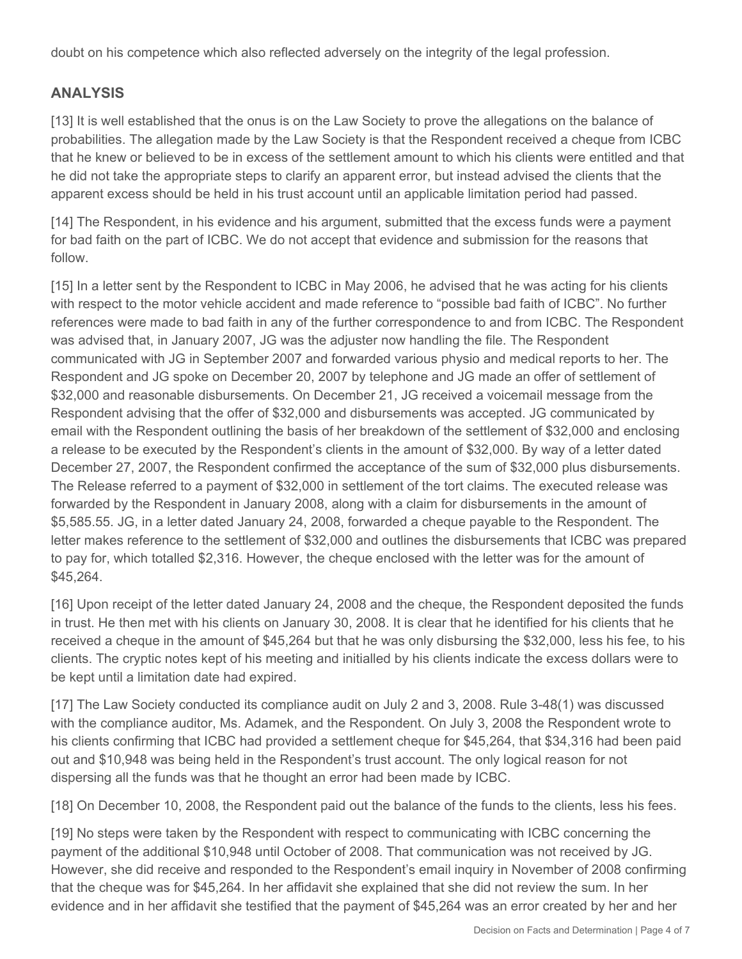doubt on his competence which also reflected adversely on the integrity of the legal profession.

# **ANALYSIS**

[13] It is well established that the onus is on the Law Society to prove the allegations on the balance of probabilities. The allegation made by the Law Society is that the Respondent received a cheque from ICBC that he knew or believed to be in excess of the settlement amount to which his clients were entitled and that he did not take the appropriate steps to clarify an apparent error, but instead advised the clients that the apparent excess should be held in his trust account until an applicable limitation period had passed.

[14] The Respondent, in his evidence and his argument, submitted that the excess funds were a payment for bad faith on the part of ICBC. We do not accept that evidence and submission for the reasons that follow.

[15] In a letter sent by the Respondent to ICBC in May 2006, he advised that he was acting for his clients with respect to the motor vehicle accident and made reference to "possible bad faith of ICBC". No further references were made to bad faith in any of the further correspondence to and from ICBC. The Respondent was advised that, in January 2007, JG was the adjuster now handling the file. The Respondent communicated with JG in September 2007 and forwarded various physio and medical reports to her. The Respondent and JG spoke on December 20, 2007 by telephone and JG made an offer of settlement of \$32,000 and reasonable disbursements. On December 21, JG received a voicemail message from the Respondent advising that the offer of \$32,000 and disbursements was accepted. JG communicated by email with the Respondent outlining the basis of her breakdown of the settlement of \$32,000 and enclosing a release to be executed by the Respondent's clients in the amount of \$32,000. By way of a letter dated December 27, 2007, the Respondent confirmed the acceptance of the sum of \$32,000 plus disbursements. The Release referred to a payment of \$32,000 in settlement of the tort claims. The executed release was forwarded by the Respondent in January 2008, along with a claim for disbursements in the amount of \$5,585.55. JG, in a letter dated January 24, 2008, forwarded a cheque payable to the Respondent. The letter makes reference to the settlement of \$32,000 and outlines the disbursements that ICBC was prepared to pay for, which totalled \$2,316. However, the cheque enclosed with the letter was for the amount of \$45,264.

[16] Upon receipt of the letter dated January 24, 2008 and the cheque, the Respondent deposited the funds in trust. He then met with his clients on January 30, 2008. It is clear that he identified for his clients that he received a cheque in the amount of \$45,264 but that he was only disbursing the \$32,000, less his fee, to his clients. The cryptic notes kept of his meeting and initialled by his clients indicate the excess dollars were to be kept until a limitation date had expired.

[17] The Law Society conducted its compliance audit on July 2 and 3, 2008. Rule 3-48(1) was discussed with the compliance auditor, Ms. Adamek, and the Respondent. On July 3, 2008 the Respondent wrote to his clients confirming that ICBC had provided a settlement cheque for \$45,264, that \$34,316 had been paid out and \$10,948 was being held in the Respondent's trust account. The only logical reason for not dispersing all the funds was that he thought an error had been made by ICBC.

[18] On December 10, 2008, the Respondent paid out the balance of the funds to the clients, less his fees.

[19] No steps were taken by the Respondent with respect to communicating with ICBC concerning the payment of the additional \$10,948 until October of 2008. That communication was not received by JG. However, she did receive and responded to the Respondent's email inquiry in November of 2008 confirming that the cheque was for \$45,264. In her affidavit she explained that she did not review the sum. In her evidence and in her affidavit she testified that the payment of \$45,264 was an error created by her and her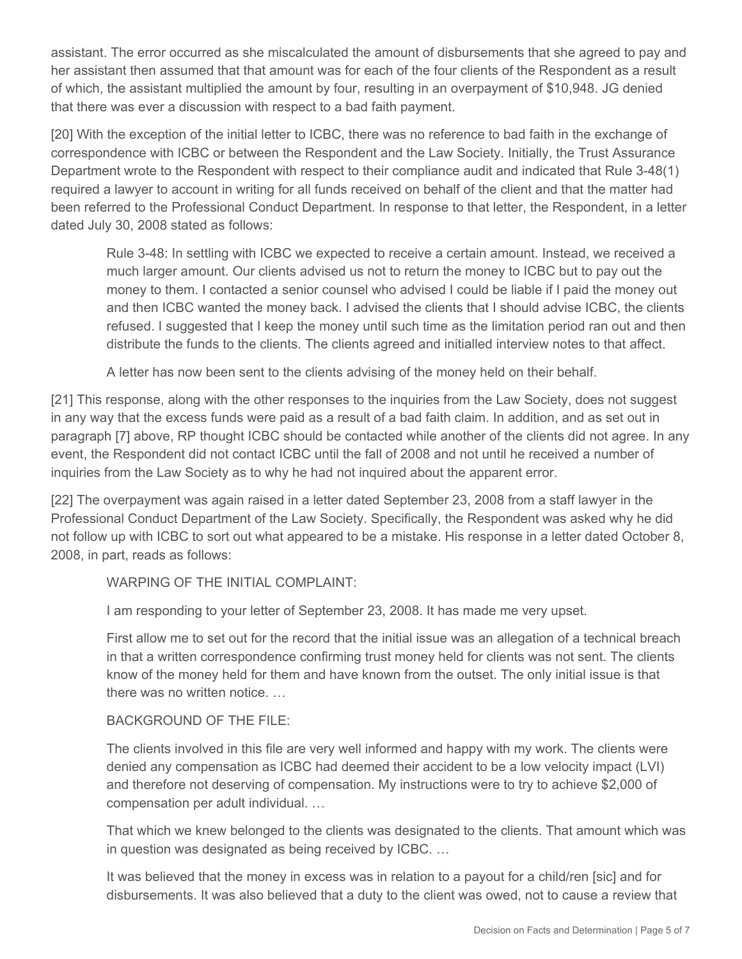assistant. The error occurred as she miscalculated the amount of disbursements that she agreed to pay and her assistant then assumed that that amount was for each of the four clients of the Respondent as a result of which, the assistant multiplied the amount by four, resulting in an overpayment of \$10,948. JG denied that there was ever a discussion with respect to a bad faith payment.

[20] With the exception of the initial letter to ICBC, there was no reference to bad faith in the exchange of correspondence with ICBC or between the Respondent and the Law Society. Initially, the Trust Assurance Department wrote to the Respondent with respect to their compliance audit and indicated that Rule 3-48(1) required a lawyer to account in writing for all funds received on behalf of the client and that the matter had been referred to the Professional Conduct Department. In response to that letter, the Respondent, in a letter dated July 30, 2008 stated as follows:

Rule 3-48: In settling with ICBC we expected to receive a certain amount. Instead, we received a much larger amount. Our clients advised us not to return the money to ICBC but to pay out the money to them. I contacted a senior counsel who advised I could be liable if I paid the money out and then ICBC wanted the money back. I advised the clients that I should advise ICBC, the clients refused. I suggested that I keep the money until such time as the limitation period ran out and then distribute the funds to the clients. The clients agreed and initialled interview notes to that affect.

A letter has now been sent to the clients advising of the money held on their behalf.

[21] This response, along with the other responses to the inquiries from the Law Society, does not suggest in any way that the excess funds were paid as a result of a bad faith claim. In addition, and as set out in paragraph [7] above, RP thought ICBC should be contacted while another of the clients did not agree. In any event, the Respondent did not contact ICBC until the fall of 2008 and not until he received a number of inquiries from the Law Society as to why he had not inquired about the apparent error.

[22] The overpayment was again raised in a letter dated September 23, 2008 from a staff lawyer in the Professional Conduct Department of the Law Society. Specifically, the Respondent was asked why he did not follow up with ICBC to sort out what appeared to be a mistake. His response in a letter dated October 8, 2008, in part, reads as follows:

#### WARPING OF THE INITIAL COMPLAINT:

I am responding to your letter of September 23, 2008. It has made me very upset.

First allow me to set out for the record that the initial issue was an allegation of a technical breach in that a written correspondence confirming trust money held for clients was not sent. The clients know of the money held for them and have known from the outset. The only initial issue is that there was no written notice. …

#### BACKGROUND OF THE FILE:

The clients involved in this file are very well informed and happy with my work. The clients were denied any compensation as ICBC had deemed their accident to be a low velocity impact (LVI) and therefore not deserving of compensation. My instructions were to try to achieve \$2,000 of compensation per adult individual. …

That which we knew belonged to the clients was designated to the clients. That amount which was in question was designated as being received by ICBC. …

It was believed that the money in excess was in relation to a payout for a child/ren [sic] and for disbursements. It was also believed that a duty to the client was owed, not to cause a review that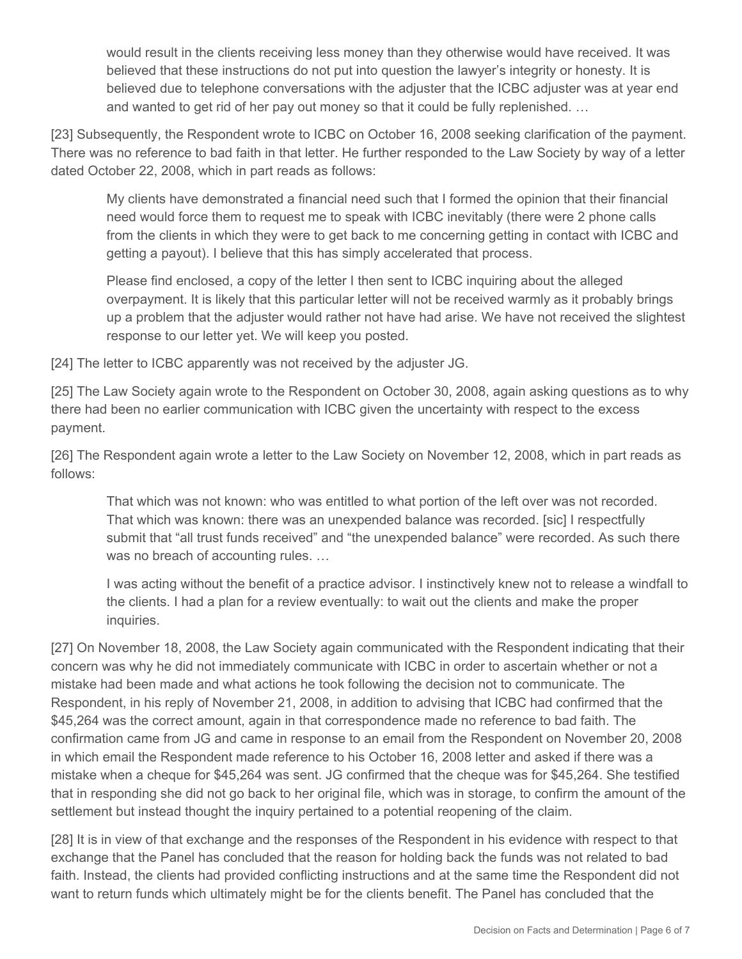would result in the clients receiving less money than they otherwise would have received. It was believed that these instructions do not put into question the lawyer's integrity or honesty. It is believed due to telephone conversations with the adjuster that the ICBC adjuster was at year end and wanted to get rid of her pay out money so that it could be fully replenished. …

[23] Subsequently, the Respondent wrote to ICBC on October 16, 2008 seeking clarification of the payment. There was no reference to bad faith in that letter. He further responded to the Law Society by way of a letter dated October 22, 2008, which in part reads as follows:

My clients have demonstrated a financial need such that I formed the opinion that their financial need would force them to request me to speak with ICBC inevitably (there were 2 phone calls from the clients in which they were to get back to me concerning getting in contact with ICBC and getting a payout). I believe that this has simply accelerated that process.

Please find enclosed, a copy of the letter I then sent to ICBC inquiring about the alleged overpayment. It is likely that this particular letter will not be received warmly as it probably brings up a problem that the adjuster would rather not have had arise. We have not received the slightest response to our letter yet. We will keep you posted.

[24] The letter to ICBC apparently was not received by the adjuster JG.

[25] The Law Society again wrote to the Respondent on October 30, 2008, again asking questions as to why there had been no earlier communication with ICBC given the uncertainty with respect to the excess payment.

[26] The Respondent again wrote a letter to the Law Society on November 12, 2008, which in part reads as follows:

That which was not known: who was entitled to what portion of the left over was not recorded. That which was known: there was an unexpended balance was recorded. [sic] I respectfully submit that "all trust funds received" and "the unexpended balance" were recorded. As such there was no breach of accounting rules. …

I was acting without the benefit of a practice advisor. I instinctively knew not to release a windfall to the clients. I had a plan for a review eventually: to wait out the clients and make the proper inquiries.

[27] On November 18, 2008, the Law Society again communicated with the Respondent indicating that their concern was why he did not immediately communicate with ICBC in order to ascertain whether or not a mistake had been made and what actions he took following the decision not to communicate. The Respondent, in his reply of November 21, 2008, in addition to advising that ICBC had confirmed that the \$45,264 was the correct amount, again in that correspondence made no reference to bad faith. The confirmation came from JG and came in response to an email from the Respondent on November 20, 2008 in which email the Respondent made reference to his October 16, 2008 letter and asked if there was a mistake when a cheque for \$45,264 was sent. JG confirmed that the cheque was for \$45,264. She testified that in responding she did not go back to her original file, which was in storage, to confirm the amount of the settlement but instead thought the inquiry pertained to a potential reopening of the claim.

[28] It is in view of that exchange and the responses of the Respondent in his evidence with respect to that exchange that the Panel has concluded that the reason for holding back the funds was not related to bad faith. Instead, the clients had provided conflicting instructions and at the same time the Respondent did not want to return funds which ultimately might be for the clients benefit. The Panel has concluded that the